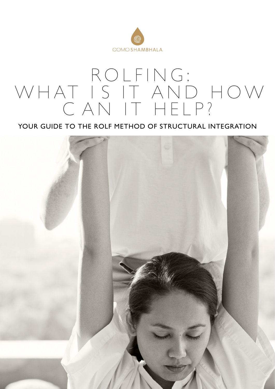

## R OLFI NG: W H AT I S IT AND H O W CAN IT HELP?

YOUR GUIDE TO THE ROLF METHOD OF STRUCTURAL INTEGRATION

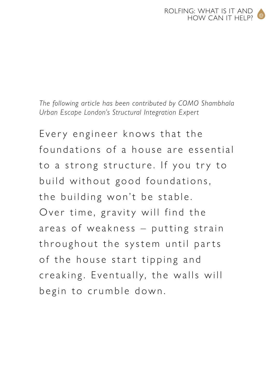*The following article has been contributed by COMO Shambhala Urban Escape London's Structural Integration Expert*

Every engineer knows that the foundations of a house are essential to a strong structure. If you try to build without good foundations, the building won't be stable. Over time, gravity will find the areas of weakness – putting strain throughout the system until parts of the house start tipping and creaking. Eventually, the walls will begin to crumble down.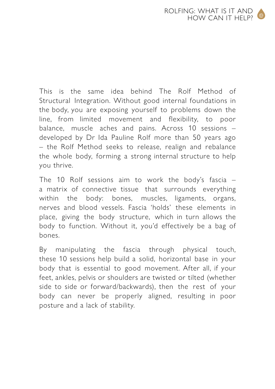This is the same idea behind The Rolf Method of Structural Integration. Without good internal foundations in the body, you are exposing yourself to problems down the line, from limited movement and flexibility, to poor balance, muscle aches and pains. Across 10 sessions – developed by Dr Ida Pauline Rolf more than 50 years ago – the Rolf Method seeks to release, realign and rebalance the whole body, forming a strong internal structure to help you thrive.

The 10 Rolf sessions aim to work the body's fascia  $$ a matrix of connective tissue that surrounds everything within the body: bones, muscles, ligaments, organs, nerves and blood vessels. Fascia 'holds' these elements in place, giving the body structure, which in turn allows the body to function. Without it, you'd effectively be a bag of bones.

By manipulating the fascia through physical touch, these 10 sessions help build a solid, horizontal base in your body that is essential to good movement. After all, if your feet, ankles, pelvis or shoulders are twisted or tilted (whether side to side or forward/backwards), then the rest of your body can never be properly aligned, resulting in poor posture and a lack of stability.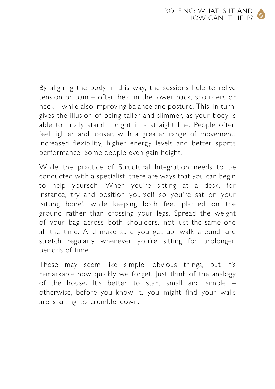By aligning the body in this way, the sessions help to relive tension or pain – often held in the lower back, shoulders or neck – while also improving balance and posture. This, in turn, gives the illusion of being taller and slimmer, as your body is able to finally stand upright in a straight line. People often feel lighter and looser, with a greater range of movement, increased flexibility, higher energy levels and better sports performance. Some people even gain height.

While the practice of Structural Integration needs to be conducted with a specialist, there are ways that you can begin to help yourself. When you're sitting at a desk, for instance, try and position yourself so you're sat on your  $\overline{a}$ sitting bone', while keeping both feet planted on the ground rather than crossing your legs. Spread the weight of your bag across both shoulders, not just the same one all the time. And make sure you get up, walk around and stretch regularly whenever you're sitting for prolonged periods of time.

These may seem like simple, obvious things, but it's remarkable how quickly we forget. Just think of the analogy of the house. It's better to start small and simple – otherwise, before you know it, you might find your walls are starting to crumble down.